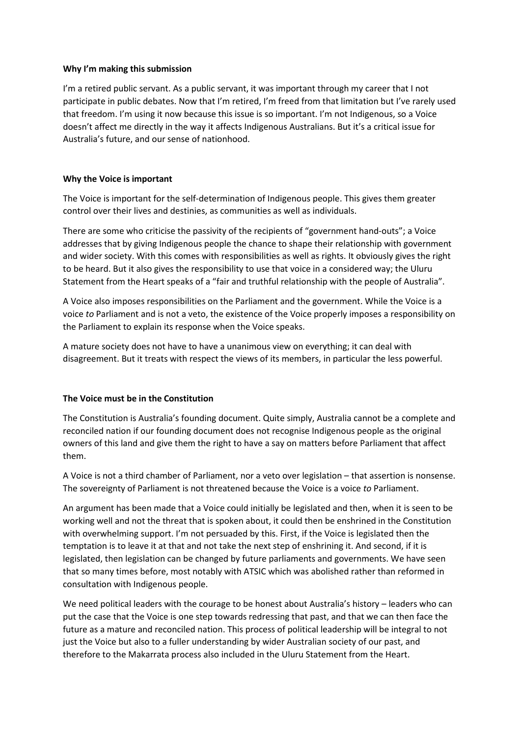## **Why I'm making this submission**

I'm a retired public servant. As a public servant, it was important through my career that I not participate in public debates. Now that I'm retired, I'm freed from that limitation but I've rarely used that freedom. I'm using it now because this issue is so important. I'm not Indigenous, so a Voice doesn't affect me directly in the way it affects Indigenous Australians. But it's a critical issue for Australia's future, and our sense of nationhood.

## **Why the Voice is important**

The Voice is important for the self-determination of Indigenous people. This gives them greater control over their lives and destinies, as communities as well as individuals.

There are some who criticise the passivity of the recipients of "government hand-outs"; a Voice addresses that by giving Indigenous people the chance to shape their relationship with government and wider society. With this comes with responsibilities as well as rights. It obviously gives the right to be heard. But it also gives the responsibility to use that voice in a considered way; the Uluru Statement from the Heart speaks of a "fair and truthful relationship with the people of Australia".

A Voice also imposes responsibilities on the Parliament and the government. While the Voice is a voice *to* Parliament and is not a veto, the existence of the Voice properly imposes a responsibility on the Parliament to explain its response when the Voice speaks.

A mature society does not have to have a unanimous view on everything; it can deal with disagreement. But it treats with respect the views of its members, in particular the less powerful.

## **The Voice must be in the Constitution**

The Constitution is Australia's founding document. Quite simply, Australia cannot be a complete and reconciled nation if our founding document does not recognise Indigenous people as the original owners of this land and give them the right to have a say on matters before Parliament that affect them.

A Voice is not a third chamber of Parliament, nor a veto over legislation – that assertion is nonsense. The sovereignty of Parliament is not threatened because the Voice is a voice *to* Parliament.

An argument has been made that a Voice could initially be legislated and then, when it is seen to be working well and not the threat that is spoken about, it could then be enshrined in the Constitution with overwhelming support. I'm not persuaded by this. First, if the Voice is legislated then the temptation is to leave it at that and not take the next step of enshrining it. And second, if it is legislated, then legislation can be changed by future parliaments and governments. We have seen that so many times before, most notably with ATSIC which was abolished rather than reformed in consultation with Indigenous people.

We need political leaders with the courage to be honest about Australia's history – leaders who can put the case that the Voice is one step towards redressing that past, and that we can then face the future as a mature and reconciled nation. This process of political leadership will be integral to not just the Voice but also to a fuller understanding by wider Australian society of our past, and therefore to the Makarrata process also included in the Uluru Statement from the Heart.